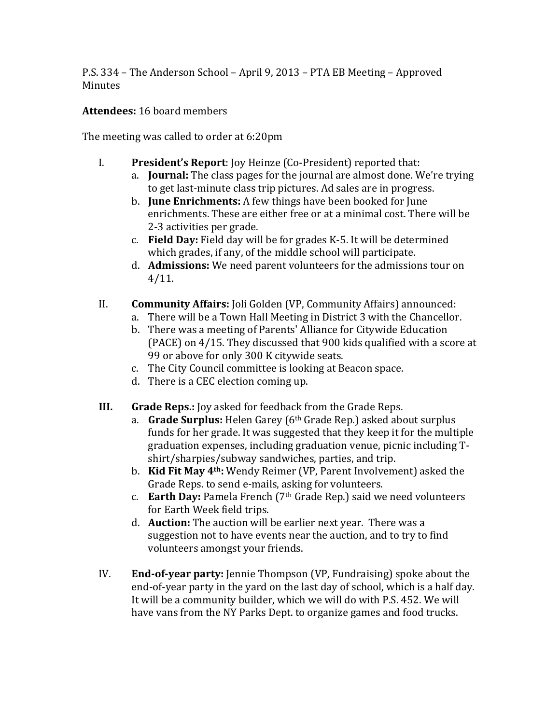P.S. 334 – The Anderson School – April 9, 2013 – PTA EB Meeting – Approved **Minutes** 

## **Attendees: 16 board members**

The meeting was called to order at 6:20pm

- I. **President's Report**: Joy Heinze (Co-President) reported that:
	- a. **Journal:** The class pages for the journal are almost done. We're trying to get last-minute class trip pictures. Ad sales are in progress.
	- b. **June Enrichments:** A few things have been booked for June enrichments. These are either free or at a minimal cost. There will be 2-3 activities per grade.
	- c. **Field Day:** Field day will be for grades K-5. It will be determined which grades, if any, of the middle school will participate.
	- d. **Admissions:** We need parent volunteers for the admissions tour on 4/11.
- II. **Community Affairs:** Joli Golden (VP, Community Affairs) announced:
	- a. There will be a Town Hall Meeting in District 3 with the Chancellor.
	- b. There was a meeting of Parents' Alliance for Citywide Education (PACE) on  $4/15$ . They discussed that 900 kids qualified with a score at 99 or above for only 300 K citywide seats.
	- c. The City Council committee is looking at Beacon space.
	- d. There is a CEC election coming up.
- **III. Grade Reps.:** Joy asked for feedback from the Grade Reps.
	- a. **Grade Surplus:** Helen Garey (6<sup>th</sup> Grade Rep.) asked about surplus funds for her grade. It was suggested that they keep it for the multiple graduation expenses, including graduation venue, picnic including Tshirt/sharpies/subway sandwiches, parties, and trip.
	- b. **Kid Fit May 4<sup>th</sup>:** Wendy Reimer (VP, Parent Involvement) asked the Grade Reps. to send e-mails, asking for volunteers.
	- c. **Earth Day:** Pamela French (7<sup>th</sup> Grade Rep.) said we need volunteers for Earth Week field trips.
	- d. **Auction:** The auction will be earlier next year. There was a suggestion not to have events near the auction, and to try to find volunteers amongst your friends.
- IV. **End-of-year party:** Jennie Thompson (VP, Fundraising) spoke about the end-of-year party in the yard on the last day of school, which is a half day. It will be a community builder, which we will do with P.S. 452. We will have vans from the NY Parks Dept. to organize games and food trucks.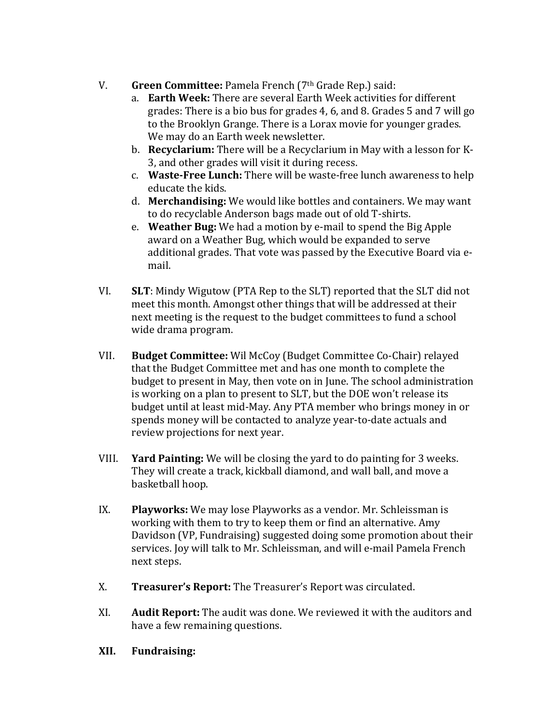- V. Green Committee: Pamela French (7<sup>th</sup> Grade Rep.) said:
	- a. **Earth Week:** There are several Earth Week activities for different grades: There is a bio bus for grades 4, 6, and 8. Grades  $5$  and  $7$  will go to the Brooklyn Grange. There is a Lorax movie for younger grades. We may do an Earth week newsletter.
	- b. **Recyclarium:** There will be a Recyclarium in May with a lesson for K-3, and other grades will visit it during recess.
	- c. **Waste-Free Lunch:** There will be waste-free lunch awareness to help educate the kids.
	- d. **Merchandising:** We would like bottles and containers. We may want to do recyclable Anderson bags made out of old T-shirts.
	- e. **Weather Bug:** We had a motion by e-mail to spend the Big Apple award on a Weather Bug, which would be expanded to serve additional grades. That vote was passed by the Executive Board via email.
- VI. **SLT**: Mindy Wigutow (PTA Rep to the SLT) reported that the SLT did not meet this month. Amongst other things that will be addressed at their next meeting is the request to the budget committees to fund a school wide drama program.
- VII. **Budget Committee:** Wil McCoy (Budget Committee Co-Chair) relayed that the Budget Committee met and has one month to complete the budget to present in May, then vote on in June. The school administration is working on a plan to present to SLT, but the DOE won't release its budget until at least mid-May. Any PTA member who brings money in or spends money will be contacted to analyze year-to-date actuals and review projections for next year.
- VIII. **Yard Painting:** We will be closing the vard to do painting for 3 weeks. They will create a track, kickball diamond, and wall ball, and move a basketball hoop.
- IX. **Playworks:** We may lose Playworks as a vendor. Mr. Schleissman is working with them to try to keep them or find an alternative. Amy Davidson (VP, Fundraising) suggested doing some promotion about their services. Joy will talk to Mr. Schleissman, and will e-mail Pamela French next steps.
- X. **Treasurer's Report:** The Treasurer's Report was circulated.
- XI. Audit Report: The audit was done. We reviewed it with the auditors and have a few remaining questions.
- **XII. Fundraising:**